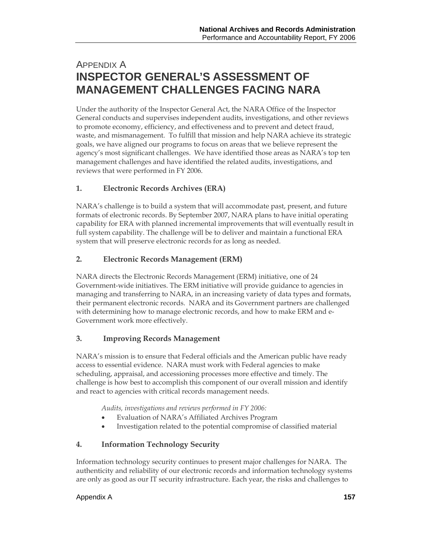# APPENDIX A **INSPECTOR GENERAL'S ASSESSMENT OF MANAGEMENT CHALLENGES FACING NARA**

Under the authority of the Inspector General Act, the NARA Office of the Inspector General conducts and supervises independent audits, investigations, and other reviews to promote economy, efficiency, and effectiveness and to prevent and detect fraud, waste, and mismanagement. To fulfill that mission and help NARA achieve its strategic goals, we have aligned our programs to focus on areas that we believe represent the agency's most significant challenges. We have identified those areas as NARA's top ten management challenges and have identified the related audits, investigations, and reviews that were performed in FY 2006.

### **1. Electronic Records Archives (ERA)**

NARA's challenge is to build a system that will accommodate past, present, and future formats of electronic records. By September 2007, NARA plans to have initial operating capability for ERA with planned incremental improvements that will eventually result in full system capability. The challenge will be to deliver and maintain a functional ERA system that will preserve electronic records for as long as needed.

#### **2. Electronic Records Management (ERM)**

NARA directs the Electronic Records Management (ERM) initiative, one of 24 Government-wide initiatives. The ERM initiative will provide guidance to agencies in managing and transferring to NARA, in an increasing variety of data types and formats, their permanent electronic records. NARA and its Government partners are challenged with determining how to manage electronic records, and how to make ERM and e-Government work more effectively.

#### **3. Improving Records Management**

NARA's mission is to ensure that Federal officials and the American public have ready access to essential evidence. NARA must work with Federal agencies to make scheduling, appraisal, and accessioning processes more effective and timely. The challenge is how best to accomplish this component of our overall mission and identify and react to agencies with critical records management needs.

*Audits, investigations and reviews performed in FY 2006:* 

- Evaluation of NARA's Affiliated Archives Program
- Investigation related to the potential compromise of classified material

#### **4. Information Technology Security**

Information technology security continues to present major challenges for NARA. The authenticity and reliability of our electronic records and information technology systems are only as good as our IT security infrastructure. Each year, the risks and challenges to

#### Appendix A **157**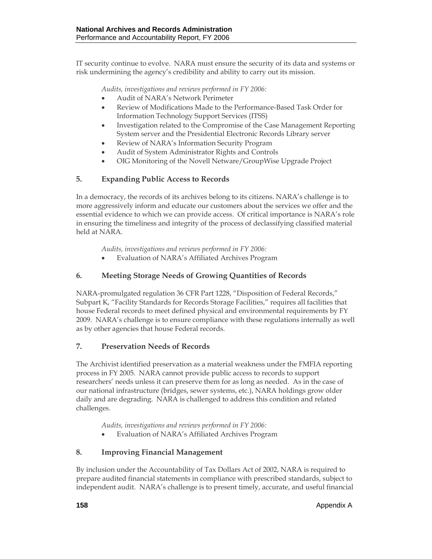IT security continue to evolve. NARA must ensure the security of its data and systems or risk undermining the agency's credibility and ability to carry out its mission.

*Audits, investigations and reviews performed in FY 2006:* 

- Audit of NARA's Network Perimeter
- Review of Modifications Made to the Performance-Based Task Order for Information Technology Support Services (ITSS)
- Investigation related to the Compromise of the Case Management Reporting System server and the Presidential Electronic Records Library server
- Review of NARA's Information Security Program
- Audit of System Administrator Rights and Controls
- OIG Monitoring of the Novell Netware/GroupWise Upgrade Project

#### **5. Expanding Public Access to Records**

In a democracy, the records of its archives belong to its citizens. NARA's challenge is to more aggressively inform and educate our customers about the services we offer and the essential evidence to which we can provide access. Of critical importance is NARA's role in ensuring the timeliness and integrity of the process of declassifying classified material held at NARA.

*Audits, investigations and reviews performed in FY 2006:* 

• Evaluation of NARA's Affiliated Archives Program

#### **6. Meeting Storage Needs of Growing Quantities of Records**

NARA-promulgated regulation 36 CFR Part 1228, "Disposition of Federal Records," Subpart K, "Facility Standards for Records Storage Facilities," requires all facilities that house Federal records to meet defined physical and environmental requirements by FY 2009. NARA's challenge is to ensure compliance with these regulations internally as well as by other agencies that house Federal records.

#### **7. Preservation Needs of Records**

The Archivist identified preservation as a material weakness under the FMFIA reporting process in FY 2005. NARA cannot provide public access to records to support researchers' needs unless it can preserve them for as long as needed. As in the case of our national infrastructure (bridges, sewer systems, etc.), NARA holdings grow older daily and are degrading. NARA is challenged to address this condition and related challenges.

*Audits, investigations and reviews performed in FY 2006:* 

• Evaluation of NARA's Affiliated Archives Program

#### **8. Improving Financial Management**

By inclusion under the Accountability of Tax Dollars Act of 2002, NARA is required to prepare audited financial statements in compliance with prescribed standards, subject to independent audit. NARA's challenge is to present timely, accurate, and useful financial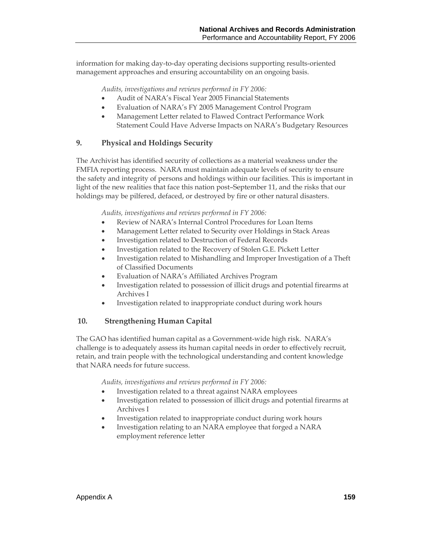information for making day-to-day operating decisions supporting results-oriented management approaches and ensuring accountability on an ongoing basis.

*Audits, investigations and reviews performed in FY 2006:* 

- Audit of NARA's Fiscal Year 2005 Financial Statements
- Evaluation of NARA's FY 2005 Management Control Program
- Management Letter related to Flawed Contract Performance Work Statement Could Have Adverse Impacts on NARA's Budgetary Resources

#### **9. Physical and Holdings Security**

The Archivist has identified security of collections as a material weakness under the FMFIA reporting process. NARA must maintain adequate levels of security to ensure the safety and integrity of persons and holdings within our facilities. This is important in light of the new realities that face this nation post–September 11, and the risks that our holdings may be pilfered, defaced, or destroyed by fire or other natural disasters.

*Audits, investigations and reviews performed in FY 2006:* 

- Review of NARA's Internal Control Procedures for Loan Items
- Management Letter related to Security over Holdings in Stack Areas
- Investigation related to Destruction of Federal Records
- Investigation related to the Recovery of Stolen G.E. Pickett Letter
- Investigation related to Mishandling and Improper Investigation of a Theft of Classified Documents
- Evaluation of NARA's Affiliated Archives Program
- Investigation related to possession of illicit drugs and potential firearms at Archives I
- Investigation related to inappropriate conduct during work hours

#### **10. Strengthening Human Capital**

The GAO has identified human capital as a Government-wide high risk. NARA's challenge is to adequately assess its human capital needs in order to effectively recruit, retain, and train people with the technological understanding and content knowledge that NARA needs for future success.

*Audits, investigations and reviews performed in FY 2006:* 

- Investigation related to a threat against NARA employees
- Investigation related to possession of illicit drugs and potential firearms at Archives I
- Investigation related to inappropriate conduct during work hours
- Investigation relating to an NARA employee that forged a NARA employment reference letter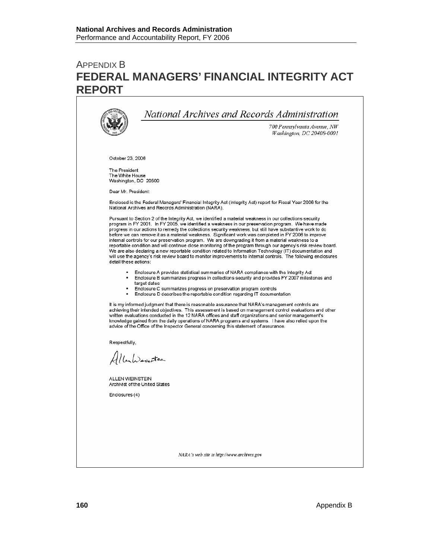# APPENDIX B **FEDERAL MANAGERS' FINANCIAL INTEGRITY ACT REPORT**

|                                                          | 700 Pennsylvania Avenue, NW<br>Washington, DC 20408-0001                                                                                                                                                                                                                                                                                                                                                                                                                                                                                                                                                                                                                                                                                                                                                                                                                                      |
|----------------------------------------------------------|-----------------------------------------------------------------------------------------------------------------------------------------------------------------------------------------------------------------------------------------------------------------------------------------------------------------------------------------------------------------------------------------------------------------------------------------------------------------------------------------------------------------------------------------------------------------------------------------------------------------------------------------------------------------------------------------------------------------------------------------------------------------------------------------------------------------------------------------------------------------------------------------------|
| October 23, 2006                                         |                                                                                                                                                                                                                                                                                                                                                                                                                                                                                                                                                                                                                                                                                                                                                                                                                                                                                               |
| The President<br>The White House<br>Washington, DC 20500 |                                                                                                                                                                                                                                                                                                                                                                                                                                                                                                                                                                                                                                                                                                                                                                                                                                                                                               |
| Dear Mr. President:                                      |                                                                                                                                                                                                                                                                                                                                                                                                                                                                                                                                                                                                                                                                                                                                                                                                                                                                                               |
|                                                          | Enclosed is the Federal Managers' Financial Integrity Act (Integrity Act) report for Fiscal Year 2006 for the<br>National Archives and Records Administration (NARA).                                                                                                                                                                                                                                                                                                                                                                                                                                                                                                                                                                                                                                                                                                                         |
| detail these actions:                                    | Pursuant to Section 2 of the Integrity Act, we identified a material weakness in our collections security<br>program in FY 2001. In FY 2005, we identified a weakness in our preservation program. We have made<br>progress in our actions to remedy the collections security weakness, but still have substantive work to do<br>before we can remove it as a material weakness. Significant work was completed in FY 2006 to improve<br>internal controls for our preservation program. We are downgrading it from a material weakness to a<br>reportable condition and will continue close monitoring of the program through our agency's risk review board.<br>We are also declaring a new reportable condition related to Information Technology (IT) documentation and<br>will use the agency's risk review board to monitor improvements to internal controls. The following enclosures |
| ٠                                                        | Enclosure A provides statistical summaries of NARA compliance with the Integrity Act<br>Enclosure B summarizes progress in collections security and provides FY 2007 milestones and<br>target dates<br>Enclosure C summarizes progress on preservation program controls                                                                                                                                                                                                                                                                                                                                                                                                                                                                                                                                                                                                                       |
| ٠                                                        | Enclosure D describes the reportable condition regarding IT documentation                                                                                                                                                                                                                                                                                                                                                                                                                                                                                                                                                                                                                                                                                                                                                                                                                     |
|                                                          | It is my informed judgment that there is reasonable assurance that NARA's management controls are<br>achieving their intended objectives. This assessment is based on management control evaluations and other<br>written evaluations conducted in the 12 NARA offices and staff organizations and senior management's<br>knowledge gained from the daily operations of NARA programs and systems. I have also relied upon the<br>advice of the Office of the Inspector General concerning this statement of assurance.                                                                                                                                                                                                                                                                                                                                                                       |
| Respectfully,                                            |                                                                                                                                                                                                                                                                                                                                                                                                                                                                                                                                                                                                                                                                                                                                                                                                                                                                                               |
| AllenWernsten                                            |                                                                                                                                                                                                                                                                                                                                                                                                                                                                                                                                                                                                                                                                                                                                                                                                                                                                                               |
| ALLEN WEINSTEIN                                          | Archivist of the United States                                                                                                                                                                                                                                                                                                                                                                                                                                                                                                                                                                                                                                                                                                                                                                                                                                                                |
| Enclosures (4)                                           |                                                                                                                                                                                                                                                                                                                                                                                                                                                                                                                                                                                                                                                                                                                                                                                                                                                                                               |
|                                                          |                                                                                                                                                                                                                                                                                                                                                                                                                                                                                                                                                                                                                                                                                                                                                                                                                                                                                               |
|                                                          |                                                                                                                                                                                                                                                                                                                                                                                                                                                                                                                                                                                                                                                                                                                                                                                                                                                                                               |
|                                                          |                                                                                                                                                                                                                                                                                                                                                                                                                                                                                                                                                                                                                                                                                                                                                                                                                                                                                               |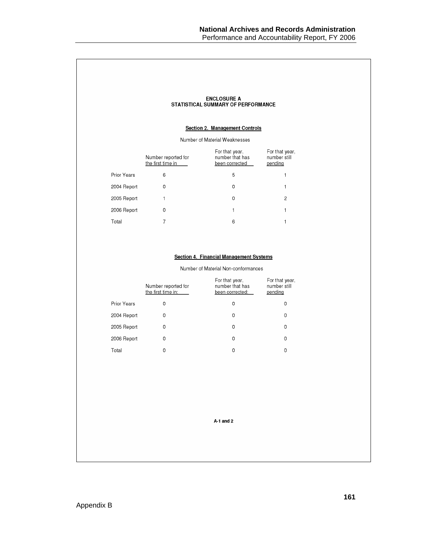|             |                                          | <b>ENCLOSURE A</b><br>STATISTICAL SUMMARY OF PERFORMANCE<br><b>Section 2. Management Controls</b> |                                           |
|-------------|------------------------------------------|---------------------------------------------------------------------------------------------------|-------------------------------------------|
|             |                                          | Number of Material Weaknesses                                                                     |                                           |
|             | Number reported for<br>the first time in | For that year,<br>number that has<br>been corrected                                               | For that year,<br>number still<br>pending |
| Prior Years | 6                                        | 5                                                                                                 |                                           |
| 2004 Report | 0                                        | 0                                                                                                 |                                           |
| 2005 Report |                                          | 0                                                                                                 | $\overline{2}$                            |
| 2006 Report | 0                                        | 1                                                                                                 |                                           |
| Total       | $\overline{7}$                           | 6                                                                                                 |                                           |
|             |                                          |                                                                                                   |                                           |

#### Section 4. Financial Management Systems

Number of Material Non-conformances

|             | Number reported for<br>the first time in: | For that year,<br>number that has<br>been corrected: | For that year,<br>number still<br>pending |
|-------------|-------------------------------------------|------------------------------------------------------|-------------------------------------------|
| Prior Years | 0                                         | 0                                                    | 0                                         |
| 2004 Report | 0                                         | 0                                                    | 0                                         |
| 2005 Report | 0                                         | 0                                                    | 0                                         |
| 2006 Report | 0                                         | 0                                                    | 0                                         |
| Total       | 0                                         | 0                                                    | 0                                         |

A-1 and 2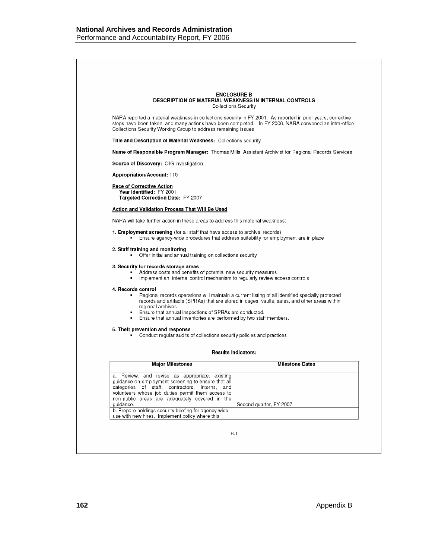|                                                                                                                                                                                                                                                                                                                                      | <b>ENCLOSURE B</b><br><b>DESCRIPTION OF MATERIAL WEAKNESS IN INTERNAL CONTROLS</b>                                                                                                                 |
|--------------------------------------------------------------------------------------------------------------------------------------------------------------------------------------------------------------------------------------------------------------------------------------------------------------------------------------|----------------------------------------------------------------------------------------------------------------------------------------------------------------------------------------------------|
|                                                                                                                                                                                                                                                                                                                                      | Collections Security                                                                                                                                                                               |
| NARA reported a material weakness in collections security in FY 2001. As reported in prior years, corrective<br>steps have been taken, and many actions have been completed. In FY 2006, NARA convened an intra-office<br>Collections Security Working Group to address remaining issues.                                            |                                                                                                                                                                                                    |
| Title and Description of Material Weakness: Collections security                                                                                                                                                                                                                                                                     |                                                                                                                                                                                                    |
| Name of Responsible Program Manager: Thomas Mills, Assistant Archivist for Regional Records Services                                                                                                                                                                                                                                 |                                                                                                                                                                                                    |
| Source of Discovery: OIG investigation                                                                                                                                                                                                                                                                                               |                                                                                                                                                                                                    |
| <b>Appropriation/Account: 110</b>                                                                                                                                                                                                                                                                                                    |                                                                                                                                                                                                    |
| <b>Pace of Corrective Action</b>                                                                                                                                                                                                                                                                                                     |                                                                                                                                                                                                    |
| Year Identified: FY 2001<br>Targeted Correction Date: FY 2007                                                                                                                                                                                                                                                                        |                                                                                                                                                                                                    |
| Action and Validation Process That Will Be Used                                                                                                                                                                                                                                                                                      |                                                                                                                                                                                                    |
| NARA will take further action in these areas to address this material weakness:                                                                                                                                                                                                                                                      |                                                                                                                                                                                                    |
| <b>1. Employment screening</b> (for all staff that have access to archival records)                                                                                                                                                                                                                                                  |                                                                                                                                                                                                    |
| Ensure agency-wide procedures that address suitability for employment are in place                                                                                                                                                                                                                                                   |                                                                                                                                                                                                    |
| 2. Staff training and monitoring<br>• Offer initial and annual training on collections security                                                                                                                                                                                                                                      |                                                                                                                                                                                                    |
| 3. Security for records storage areas<br>Address costs and benefits of potential new security measures<br>Implement an internal control mechanism to regularly review access controls<br>$\blacksquare$                                                                                                                              |                                                                                                                                                                                                    |
| 4. Records control<br>regional archives.<br>Ensure that annual inspections of SPRAs are conducted.<br>٠<br>Ensure that annual inventories are performed by two staff members.                                                                                                                                                        | Regional records operations will maintain a current listing of all identified specially protected<br>records and artifacts (SPRAs) that are stored in cages, vaults, safes, and other areas within |
| 5. Theft prevention and response<br>Conduct regular audits of collections security policies and practices                                                                                                                                                                                                                            |                                                                                                                                                                                                    |
|                                                                                                                                                                                                                                                                                                                                      | <b>Results Indicators:</b>                                                                                                                                                                         |
| <b>Major Milestones</b>                                                                                                                                                                                                                                                                                                              | <b>Milestone Dates</b>                                                                                                                                                                             |
| a. Review, and revise as appropriate, existing<br>guidance on employment screening to ensure that all<br>categories of staff, contractors, interns, and<br>volunteers whose job duties permit them access to<br>non-public areas are adequately covered in the<br>guidance.<br>b. Prepare holdings security briefing for agency wide | Second quarter, FY 2007                                                                                                                                                                            |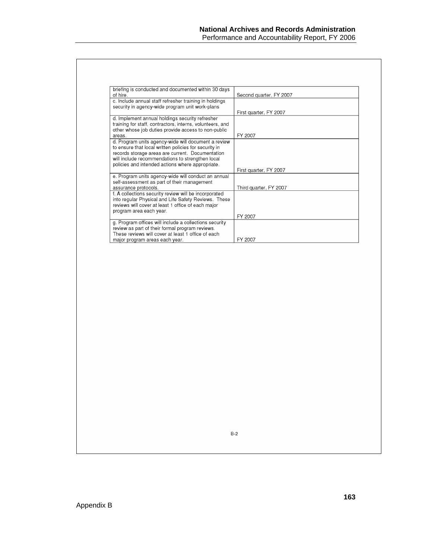| briefing is conducted and documented within 30 days<br>of hire.                                                                                                                                                                                                          | Second quarter, FY 2007 |
|--------------------------------------------------------------------------------------------------------------------------------------------------------------------------------------------------------------------------------------------------------------------------|-------------------------|
| c. Include annual staff refresher training in holdings<br>security in agency-wide program unit work-plans                                                                                                                                                                |                         |
|                                                                                                                                                                                                                                                                          | First quarter, FY 2007  |
| d. Implement annual holdings security refresher<br>training for staff, contractors, interns, volunteers, and<br>other whose job duties provide access to non-public                                                                                                      |                         |
| areas.                                                                                                                                                                                                                                                                   | FY 2007                 |
| d. Program units agency-wide will document a review<br>to ensure that local written policies for security in<br>records storage areas are current. Documentation<br>will include recommendations to strengthen local<br>policies and intended actions where appropriate. |                         |
|                                                                                                                                                                                                                                                                          | First quarter, FY 2007  |
| e. Program units agency-wide will conduct an annual<br>self-assessment as part of their management                                                                                                                                                                       |                         |
| assurance protocols.                                                                                                                                                                                                                                                     | Third quarter, FY 2007  |
| f. A collections security review will be incorporated<br>into regular Physical and Life Safety Reviews. These<br>reviews will cover at least 1 office of each major<br>program area each year.                                                                           |                         |
|                                                                                                                                                                                                                                                                          | FY 2007                 |
| g. Program offices will include a collections security<br>review as part of their formal program reviews.<br>These reviews will cover at least 1 office of each                                                                                                          |                         |
| major program areas each year.                                                                                                                                                                                                                                           | FY 2007                 |

 $B-2$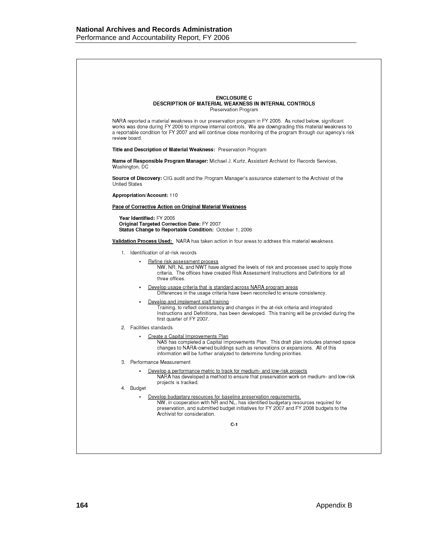|                      | <b>ENCLOSURE C</b><br><b>DESCRIPTION OF MATERIAL WEAKNESS IN INTERNAL CONTROLS</b><br>Preservation Program                                                                                                                                                                                                                          |
|----------------------|-------------------------------------------------------------------------------------------------------------------------------------------------------------------------------------------------------------------------------------------------------------------------------------------------------------------------------------|
| review board.        | NARA reported a material weakness in our preservation program in FY 2005. As noted below, significant<br>works was done during FY 2006 to improve internal controls. We are downgrading this material weakness to<br>a reportable condition for FY 2007 and will continue close monitoring of the program through our agency's risk |
|                      | Title and Description of Material Weakness: Preservation Program                                                                                                                                                                                                                                                                    |
| Washington, DC       | Name of Responsible Program Manager: Michael J. Kurtz, Assistant Archivist for Records Services,                                                                                                                                                                                                                                    |
| <b>United States</b> | <b>Source of Discovery:</b> OIG audit and the Program Manager's assurance statement to the Archivist of the                                                                                                                                                                                                                         |
|                      | <b>Appropriation/Account: 110</b>                                                                                                                                                                                                                                                                                                   |
|                      | <b>Pace of Corrective Action on Original Material Weakness</b>                                                                                                                                                                                                                                                                      |
|                      | Year Identified: FY 2005<br>Original Targeted Correction Date: FY 2007<br>Status Change to Reportable Condition: October 1, 2006                                                                                                                                                                                                    |
|                      |                                                                                                                                                                                                                                                                                                                                     |
|                      | Validation Process Used: NARA has taken action in four areas to address this material weakness.                                                                                                                                                                                                                                     |
| 1.                   | Identification of at-risk records<br>Refine risk assessment process<br>criteria. The offices have created Risk Assessment Instructions and Definitions for all<br>three offices.                                                                                                                                                    |
|                      | Develop usage criteria that is standard across NARA program areas                                                                                                                                                                                                                                                                   |
|                      | Differences in the usage criteria have been reconciled to ensure consistency.<br>Develop and implement staff training<br>Training, to reflect consistency and changes in the at-risk criteria and integrated                                                                                                                        |
| 2.                   | first quarter of FY 2007.<br>Facilities standards                                                                                                                                                                                                                                                                                   |
|                      | Create a Capital Improvements Plan<br>changes to NARA-owned buildings such as renovations or expansions. All of this<br>information will be further analyzed to determine funding priorities.                                                                                                                                       |
| 3.                   | NW, NR, NL and NWT have aligned the levels of risk and processes used to apply those<br>Instructions and Definitions, has been developed. This training will be provided during the<br>NAS has completed a Capital Improvements Plan. This draft plan includes planned space<br>Performance Measurement                             |
|                      | Develop a performance metric to track for medium- and low-risk projects<br>NARA has developed a method to ensure that preservation work on medium- and low-risk                                                                                                                                                                     |
| 4. Budget            | projects is tracked.                                                                                                                                                                                                                                                                                                                |
|                      | Develop budgetary resources for baseline preservation requirements.<br>NW, in cooperation with NR and NL, has identified budgetary resources required for<br>preservation, and submitted budget initiatives for FY 2007 and FY 2008 budgets to the<br>Archivist for consideration.                                                  |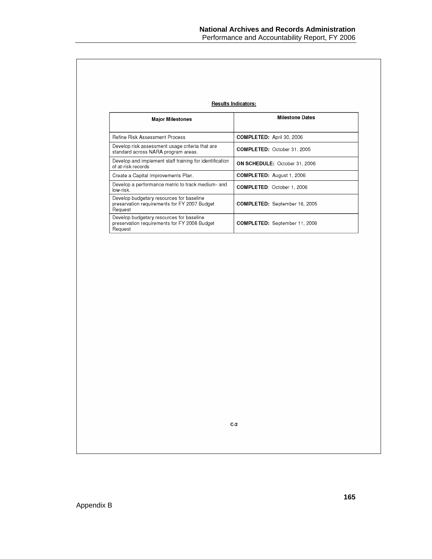|                                                                                                     | <b>Results Indicators:</b>           |
|-----------------------------------------------------------------------------------------------------|--------------------------------------|
| <b>Major Milestones</b>                                                                             | <b>Milestone Dates</b>               |
| <b>Refine Risk Assessment Process</b>                                                               | <b>COMPLETED: April 30, 2006</b>     |
| Develop risk assessment usage criteria that are<br>standard across NARA program areas.              | <b>COMPLETED: October 31, 2005</b>   |
| Develop and implement staff training for identification<br>of at-risk records                       | <b>ON SCHEDULE: October 31, 2006</b> |
| Create a Capital Improvements Plan.                                                                 | <b>COMPLETED:</b> August 1, 2006     |
| Develop a performance metric to track medium- and<br>low-risk.                                      | <b>COMPLETED: October 1, 2006</b>    |
| Develop budgetary resources for baseline<br>preservation requirements for FY 2007 Budget<br>Request | <b>COMPLETED:</b> September 16, 2005 |
| Develop budgetary resources for baseline<br>preservation requirements for FY 2008 Budget<br>Request | <b>COMPLETED:</b> September 11, 2006 |

 $C-2$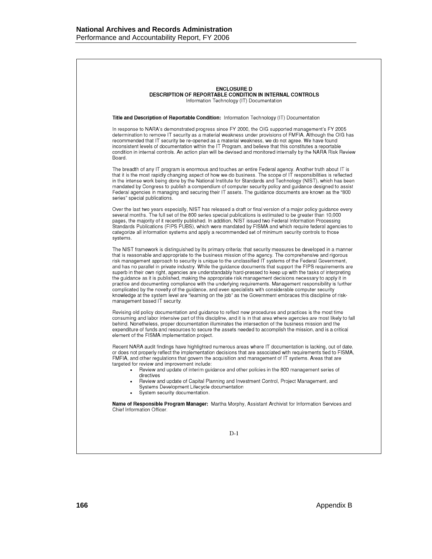|          | <b>ENCLOSURE D</b><br><b>DESCRIPTION OF REPORTABLE CONDITION IN INTERNAL CONTROLS</b><br>Information Technology (IT) Documentation                                                                                                                                                                                                                                                                                                                                                                                                                                                                                                                                                                                                                                                                                                                                                                                                                                                                                                                        |
|----------|-----------------------------------------------------------------------------------------------------------------------------------------------------------------------------------------------------------------------------------------------------------------------------------------------------------------------------------------------------------------------------------------------------------------------------------------------------------------------------------------------------------------------------------------------------------------------------------------------------------------------------------------------------------------------------------------------------------------------------------------------------------------------------------------------------------------------------------------------------------------------------------------------------------------------------------------------------------------------------------------------------------------------------------------------------------|
|          | <b>Title and Description of Reportable Condition:</b> Information Technology (IT) Documentation                                                                                                                                                                                                                                                                                                                                                                                                                                                                                                                                                                                                                                                                                                                                                                                                                                                                                                                                                           |
| Board.   | In response to NARA's demonstrated progress since FY 2000, the OIG supported management's FY 2005<br>determination to remove IT security as a material weakness under provisions of FMFIA. Although the OIG has<br>recommended that IT security be re-opened as a material weakness, we do not agree. We have found<br>inconsistent levels of documentation within the IT Program, and believe that this constitutes a reportable<br>condition in internal controls. An action plan will be devised and monitored internally by the NARA Risk Review                                                                                                                                                                                                                                                                                                                                                                                                                                                                                                      |
|          | The breadth of any IT program is enormous and touches an entire Federal agency. Another truth about IT is<br>that it is the most rapidly changing aspect of how we do business. The scope of IT responsibilities is reflected<br>in the intense work being done by the National Institute for Standards and Technology (NIST), which has been<br>mandated by Congress to publish a compendium of computer security policy and guidance designed to assist<br>Federal agencies in managing and securing their IT assets. The guidance documents are known as the "800<br>series" special publications.                                                                                                                                                                                                                                                                                                                                                                                                                                                     |
| systems. | Over the last two years especially, NIST has released a draft or final version of a major policy guidance every<br>several months. The full set of the 800 series special publications is estimated to be greater than 10,000<br>pages, the majority of it recently published. In addition, NIST issued two Federal Information Processing<br>Standards Publications (FIPS PUBS), which were mandated by FISMA and which require federal agencies to<br>categorize all information systems and apply a recommended set of minimum security controls to those                                                                                                                                                                                                                                                                                                                                                                                                                                                                                              |
|          | The NIST framework is distinguished by its primary criteria: that security measures be developed in a manner<br>that is reasonable and appropriate to the business mission of the agency. The comprehensive and rigorous<br>risk management approach to security is unique to the unclassified IT systems of the Federal Government,<br>and has no parallel in private industry. While the guidance documents that support the FIPS requirements are<br>superb in their own right, agencies are understandably hard-pressed to keep up with the tasks of interpreting<br>the guidance as it is published, making the appropriate risk management decisions necessary to apply it in<br>practice and documenting compliance with the underlying requirements. Management responsibility is further<br>complicated by the novelty of the guidance, and even specialists with considerable computer security<br>knowledge at the system level are "learning on the job" as the Government embraces this discipline of risk-<br>management based IT security. |
|          | Revising old policy documentation and guidance to reflect new procedures and practices is the most time<br>consuming and labor intensive part of this discipline, and it is in that area where agencies are most likely to fall<br>behind. Nonetheless, proper documentation illuminates the intersection of the business mission and the<br>expenditure of funds and resources to secure the assets needed to accomplish the mission, and is a critical<br>element of the FISMA implementation project.                                                                                                                                                                                                                                                                                                                                                                                                                                                                                                                                                  |
|          | Recent NARA audit findings have highlighted numerous areas where IT documentation is lacking, out of date,<br>or does not properly reflect the implementation decisions that are associated with requirements tied to FISMA,<br>FMFIA, and other regulations that govern the acquisition and management of IT systems. Areas that are<br>targeted for review and improvement include:                                                                                                                                                                                                                                                                                                                                                                                                                                                                                                                                                                                                                                                                     |
|          | Review and update of interim guidance and other policies in the 800 management series of<br>directives<br>Review and update of Capital Planning and Investment Control, Project Management, and<br>Systems Development Lifecycle documentation<br>System security documentation.                                                                                                                                                                                                                                                                                                                                                                                                                                                                                                                                                                                                                                                                                                                                                                          |
|          | Name of Responsible Program Manager: Martha Morphy, Assistant Archivist for Information Services and<br>Chief Information Officer.                                                                                                                                                                                                                                                                                                                                                                                                                                                                                                                                                                                                                                                                                                                                                                                                                                                                                                                        |
|          |                                                                                                                                                                                                                                                                                                                                                                                                                                                                                                                                                                                                                                                                                                                                                                                                                                                                                                                                                                                                                                                           |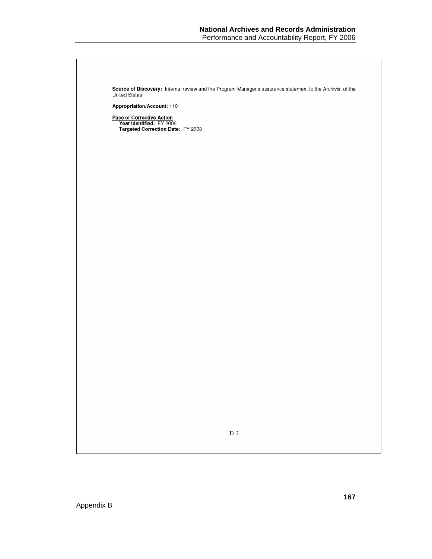| Source of Discovery: Internal review and the Program Manager's assurance statement to the Archivist of the<br>United States |
|-----------------------------------------------------------------------------------------------------------------------------|
| Appropriation/Account: 110                                                                                                  |
| Pace of Corrective Action<br>Year Identified: FY 2006                                                                       |
| Targeted Correction Date: FY 2008                                                                                           |
|                                                                                                                             |
|                                                                                                                             |
|                                                                                                                             |
|                                                                                                                             |
|                                                                                                                             |
|                                                                                                                             |
|                                                                                                                             |
|                                                                                                                             |
|                                                                                                                             |
|                                                                                                                             |
|                                                                                                                             |
|                                                                                                                             |
|                                                                                                                             |
|                                                                                                                             |
|                                                                                                                             |
|                                                                                                                             |
|                                                                                                                             |
|                                                                                                                             |
|                                                                                                                             |
|                                                                                                                             |
|                                                                                                                             |
|                                                                                                                             |
| $\mathbf{D}\text{-}\mathbf{2}$                                                                                              |
|                                                                                                                             |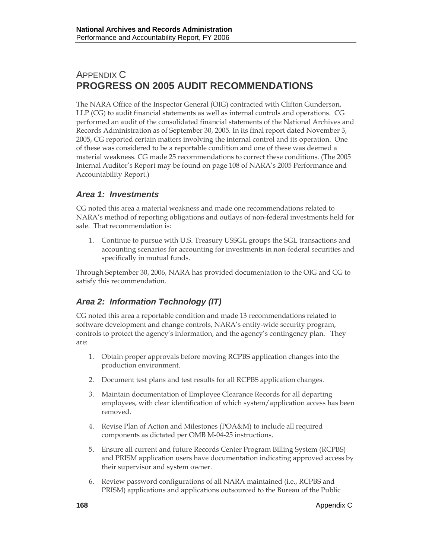# APPENDIX C **PROGRESS ON 2005 AUDIT RECOMMENDATIONS**

The NARA Office of the Inspector General (OIG) contracted with Clifton Gunderson, LLP (CG) to audit financial statements as well as internal controls and operations. CG performed an audit of the consolidated financial statements of the National Archives and Records Administration as of September 30, 2005. In its final report dated November 3, 2005, CG reported certain matters involving the internal control and its operation. One of these was considered to be a reportable condition and one of these was deemed a material weakness. CG made 25 recommendations to correct these conditions. (The 2005 Internal Auditor's Report may be found on page 108 of NARA's 2005 Performance and Accountability Report.)

## *Area 1: Investments*

CG noted this area a material weakness and made one recommendations related to NARA's method of reporting obligations and outlays of non-federal investments held for sale. That recommendation is:

1. Continue to pursue with U.S. Treasury USSGL groups the SGL transactions and accounting scenarios for accounting for investments in non-federal securities and specifically in mutual funds.

Through September 30, 2006, NARA has provided documentation to the OIG and CG to satisfy this recommendation.

# *Area 2: Information Technology (IT)*

CG noted this area a reportable condition and made 13 recommendations related to software development and change controls, NARA's entity-wide security program, controls to protect the agency's information, and the agency's contingency plan. They are:

- 1. Obtain proper approvals before moving RCPBS application changes into the production environment.
- 2. Document test plans and test results for all RCPBS application changes.
- 3. Maintain documentation of Employee Clearance Records for all departing employees, with clear identification of which system/application access has been removed.
- 4. Revise Plan of Action and Milestones (POA&M) to include all required components as dictated per OMB M-04-25 instructions.
- 5. Ensure all current and future Records Center Program Billing System (RCPBS) and PRISM application users have documentation indicating approved access by their supervisor and system owner.
- 6. Review password configurations of all NARA maintained (i.e., RCPBS and PRISM) applications and applications outsourced to the Bureau of the Public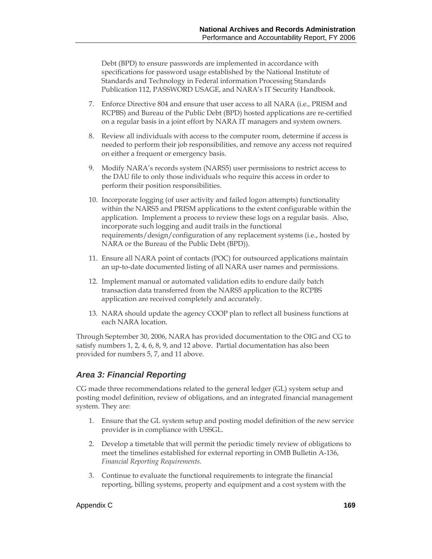Debt (BPD) to ensure passwords are implemented in accordance with specifications for password usage established by the National Institute of Standards and Technology in Federal information Processing Standards Publication 112, PASSWORD USAGE, and NARA's IT Security Handbook.

- 7. Enforce Directive 804 and ensure that user access to all NARA (i.e., PRISM and RCPBS) and Bureau of the Public Debt (BPD) hosted applications are re-certified on a regular basis in a joint effort by NARA IT managers and system owners.
- 8. Review all individuals with access to the computer room, determine if access is needed to perform their job responsibilities, and remove any access not required on either a frequent or emergency basis.
- 9. Modify NARA's records system (NARS5) user permissions to restrict access to the DAU file to only those individuals who require this access in order to perform their position responsibilities.
- 10. Incorporate logging (of user activity and failed logon attempts) functionality within the NARS5 and PRISM applications to the extent configurable within the application. Implement a process to review these logs on a regular basis. Also, incorporate such logging and audit trails in the functional requirements/design/configuration of any replacement systems (i.e., hosted by NARA or the Bureau of the Public Debt (BPD)).
- 11. Ensure all NARA point of contacts (POC) for outsourced applications maintain an up-to-date documented listing of all NARA user names and permissions.
- 12. Implement manual or automated validation edits to endure daily batch transaction data transferred from the NARS5 application to the RCPBS application are received completely and accurately.
- 13. NARA should update the agency COOP plan to reflect all business functions at each NARA location.

Through September 30, 2006, NARA has provided documentation to the OIG and CG to satisfy numbers 1, 2, 4, 6, 8, 9, and 12 above. Partial documentation has also been provided for numbers 5, 7, and 11 above.

## *Area 3: Financial Reporting*

CG made three recommendations related to the general ledger (GL) system setup and posting model definition, review of obligations, and an integrated financial management system. They are:

- 1. Ensure that the GL system setup and posting model definition of the new service provider is in compliance with USSGL.
- 2. Develop a timetable that will permit the periodic timely review of obligations to meet the timelines established for external reporting in OMB Bulletin A-136, *Financial Reporting Requirements.*
- 3. Continue to evaluate the functional requirements to integrate the financial reporting, billing systems, property and equipment and a cost system with the